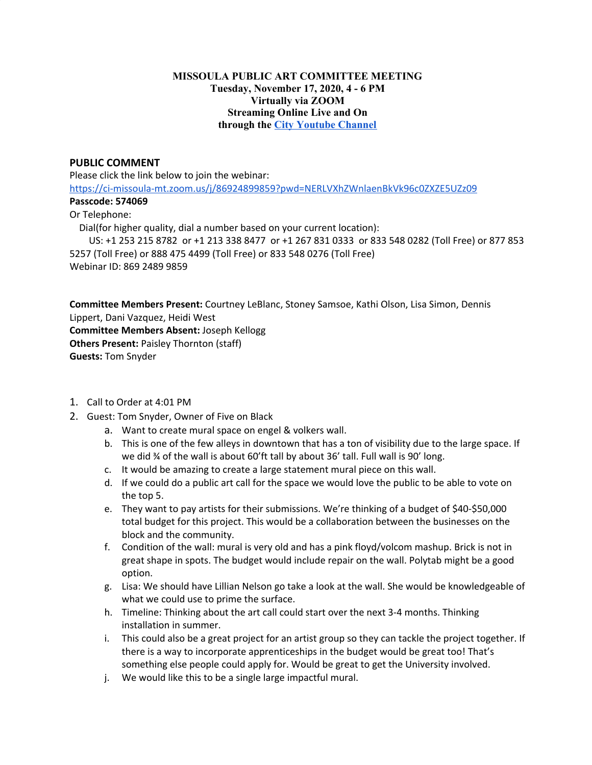## **MISSOULA PUBLIC ART COMMITTEE MEETING Tuesday, November 17, 2020, 4 - 6 PM Virtually via ZOOM Streaming Online Live and On through the City [Youtube](https://www.youtube.com/channel/UC5fnfMPFGSk8Gwq6F5UoqGg) Channel**

## **PUBLIC COMMENT**

Please click the link below to join the webinar:

<https://ci-missoula-mt.zoom.us/j/86924899859?pwd=NERLVXhZWnlaenBkVk96c0ZXZE5UZz09>

## **Passcode: 574069**

## Or Telephone:

Dial(for higher quality, dial a number based on your current location):

US: +1 253 215 8782 or +1 213 338 8477 or +1 267 831 0333 or 833 548 0282 (Toll Free) or 877 853 5257 (Toll Free) or 888 475 4499 (Toll Free) or 833 548 0276 (Toll Free) Webinar ID: 869 2489 9859

**Committee Members Present:** Courtney LeBlanc, Stoney Samsoe, Kathi Olson, Lisa Simon, Dennis Lippert, Dani Vazquez, Heidi West **Committee Members Absent:** Joseph Kellogg **Others Present:** Paisley Thornton (staff) **Guests:** Tom Snyder

- 1. Call to Order at 4:01 PM
- 2. Guest: Tom Snyder, Owner of Five on Black
	- a. Want to create mural space on engel & volkers wall.
	- b. This is one of the few alleys in downtown that has a ton of visibility due to the large space. If we did ¾ of the wall is about 60'ft tall by about 36' tall. Full wall is 90' long.
	- c. It would be amazing to create a large statement mural piece on this wall.
	- d. If we could do a public art call for the space we would love the public to be able to vote on the top 5.
	- e. They want to pay artists for their submissions. We're thinking of a budget of \$40-\$50,000 total budget for this project. This would be a collaboration between the businesses on the block and the community.
	- f. Condition of the wall: mural is very old and has a pink floyd/volcom mashup. Brick is not in great shape in spots. The budget would include repair on the wall. Polytab might be a good option.
	- g. Lisa: We should have Lillian Nelson go take a look at the wall. She would be knowledgeable of what we could use to prime the surface.
	- h. Timeline: Thinking about the art call could start over the next 3-4 months. Thinking installation in summer.
	- i. This could also be a great project for an artist group so they can tackle the project together. If there is a way to incorporate apprenticeships in the budget would be great too! That's something else people could apply for. Would be great to get the University involved.
	- j. We would like this to be a single large impactful mural.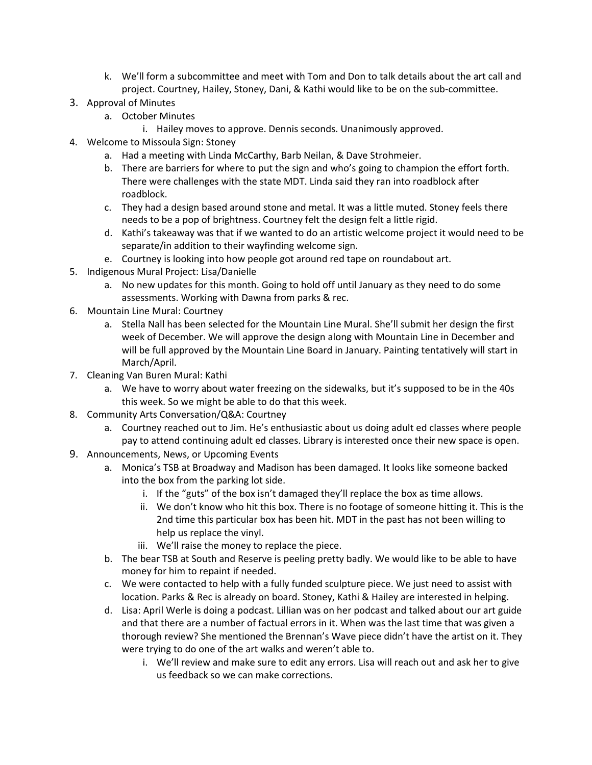- k. We'll form a subcommittee and meet with Tom and Don to talk details about the art call and project. Courtney, Hailey, Stoney, Dani, & Kathi would like to be on the sub-committee.
- 3. Approval of Minutes
	- a. October Minutes
		- i. Hailey moves to approve. Dennis seconds. Unanimously approved.
- 4. Welcome to Missoula Sign: Stoney
	- a. Had a meeting with Linda McCarthy, Barb Neilan, & Dave Strohmeier.
	- b. There are barriers for where to put the sign and who's going to champion the effort forth. There were challenges with the state MDT. Linda said they ran into roadblock after roadblock.
	- c. They had a design based around stone and metal. It was a little muted. Stoney feels there needs to be a pop of brightness. Courtney felt the design felt a little rigid.
	- d. Kathi's takeaway was that if we wanted to do an artistic welcome project it would need to be separate/in addition to their wayfinding welcome sign.
	- e. Courtney is looking into how people got around red tape on roundabout art.
- 5. Indigenous Mural Project: Lisa/Danielle
	- a. No new updates for this month. Going to hold off until January as they need to do some assessments. Working with Dawna from parks & rec.
- 6. Mountain Line Mural: Courtney
	- a. Stella Nall has been selected for the Mountain Line Mural. She'll submit her design the first week of December. We will approve the design along with Mountain Line in December and will be full approved by the Mountain Line Board in January. Painting tentatively will start in March/April.
- 7. Cleaning Van Buren Mural: Kathi
	- a. We have to worry about water freezing on the sidewalks, but it's supposed to be in the 40s this week. So we might be able to do that this week.
- 8. Community Arts Conversation/Q&A: Courtney
	- a. Courtney reached out to Jim. He's enthusiastic about us doing adult ed classes where people pay to attend continuing adult ed classes. Library is interested once their new space is open.
- 9. Announcements, News, or Upcoming Events
	- a. Monica's TSB at Broadway and Madison has been damaged. It looks like someone backed into the box from the parking lot side.
		- i. If the "guts" of the box isn't damaged they'll replace the box as time allows.
		- ii. We don't know who hit this box. There is no footage of someone hitting it. This is the 2nd time this particular box has been hit. MDT in the past has not been willing to help us replace the vinyl.
		- iii. We'll raise the money to replace the piece.
	- b. The bear TSB at South and Reserve is peeling pretty badly. We would like to be able to have money for him to repaint if needed.
	- c. We were contacted to help with a fully funded sculpture piece. We just need to assist with location. Parks & Rec is already on board. Stoney, Kathi & Hailey are interested in helping.
	- d. Lisa: April Werle is doing a podcast. Lillian was on her podcast and talked about our art guide and that there are a number of factual errors in it. When was the last time that was given a thorough review? She mentioned the Brennan's Wave piece didn't have the artist on it. They were trying to do one of the art walks and weren't able to.
		- i. We'll review and make sure to edit any errors. Lisa will reach out and ask her to give us feedback so we can make corrections.